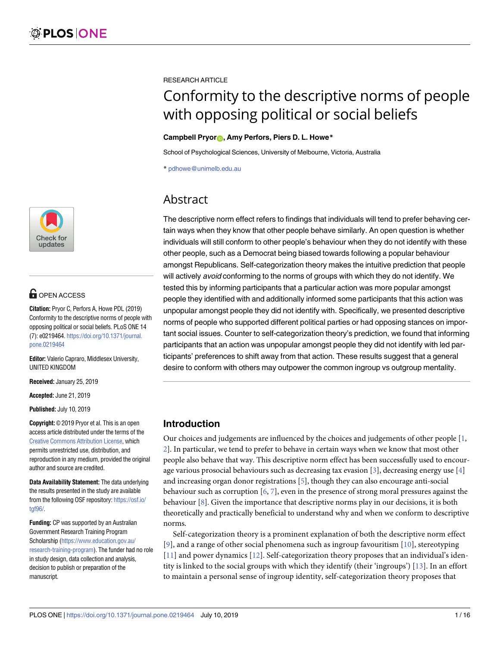

## **OPEN ACCESS**

**Citation:** Pryor C, Perfors A, Howe PDL (2019) Conformity to the descriptive norms of people with opposing political or social beliefs. PLoS ONE 14 (7): e0219464. [https://doi.org/10.1371/journal.](https://doi.org/10.1371/journal.pone.0219464) [pone.0219464](https://doi.org/10.1371/journal.pone.0219464)

**Editor:** Valerio Capraro, Middlesex University, UNITED KINGDOM

**Received:** January 25, 2019

**Accepted:** June 21, 2019

**Published:** July 10, 2019

**Copyright:** © 2019 Pryor et al. This is an open access article distributed under the terms of the Creative Commons [Attribution](http://creativecommons.org/licenses/by/4.0/) License, which permits unrestricted use, distribution, and reproduction in any medium, provided the original author and source are credited.

**Data Availability Statement:** The data underlying the results presented in the study are available from the following OSF repository: [https://osf.io/](https://osf.io/tgf96/) [tgf96/.](https://osf.io/tgf96/)

**Funding:** CP was supported by an Australian Government Research Training Program Scholarship [\(https://www.education.gov.au/](https://www.education.gov.au/research-training-program) [research-training-program](https://www.education.gov.au/research-training-program)). The funder had no role in study design, data collection and analysis. decision to publish or preparation of the manuscript.

<span id="page-0-0"></span>RESEARCH ARTICLE

# Conformity to the descriptive norms of people with opposing political or social beliefs

#### **Campbell Pryor<sub>®</sub>, Amy Perfors, Piers D. L. Howe\***

School of Psychological Sciences, University of Melbourne, Victoria, Australia

\* pdhowe@unimelb.edu.au

## Abstract

The descriptive norm effect refers to findings that individuals will tend to prefer behaving certain ways when they know that other people behave similarly. An open question is whether individuals will still conform to other people's behaviour when they do not identify with these other people, such as a Democrat being biased towards following a popular behaviour amongst Republicans. Self-categorization theory makes the intuitive prediction that people will actively *avoid* conforming to the norms of groups with which they do not identify. We tested this by informing participants that a particular action was more popular amongst people they identified with and additionally informed some participants that this action was unpopular amongst people they did not identify with. Specifically, we presented descriptive norms of people who supported different political parties or had opposing stances on important social issues. Counter to self-categorization theory's prediction, we found that informing participants that an action was unpopular amongst people they did not identify with led participants' preferences to shift away from that action. These results suggest that a general desire to conform with others may outpower the common ingroup vs outgroup mentality.

### **Introduction**

Our choices and judgements are influenced by the choices and judgements of other people [[1,](#page-13-0) [2\]](#page-13-0). In particular, we tend to prefer to behave in certain ways when we know that most other people also behave that way. This descriptive norm effect has been successfully used to encourage various prosocial behaviours such as decreasing tax evasion [[3](#page-13-0)], decreasing energy use [[4](#page-13-0)] and increasing organ donor registrations [\[5\]](#page-13-0), though they can also encourage anti-social behaviour such as corruption  $[6, 7]$  $[6, 7]$  $[6, 7]$  $[6, 7]$ , even in the presence of strong moral pressures against the behaviour [[8\]](#page-13-0). Given the importance that descriptive norms play in our decisions, it is both theoretically and practically beneficial to understand why and when we conform to descriptive norms.

Self-categorization theory is a prominent explanation of both the descriptive norm effect [\[9](#page-13-0)], and a range of other social phenomena such as ingroup favouritism [\[10](#page-13-0)], stereotyping [\[11](#page-13-0)] and power dynamics [[12\]](#page-13-0). Self-categorization theory proposes that an individual's identity is linked to the social groups with which they identify (their 'ingroups') [[13](#page-13-0)]. In an effort to maintain a personal sense of ingroup identity, self-categorization theory proposes that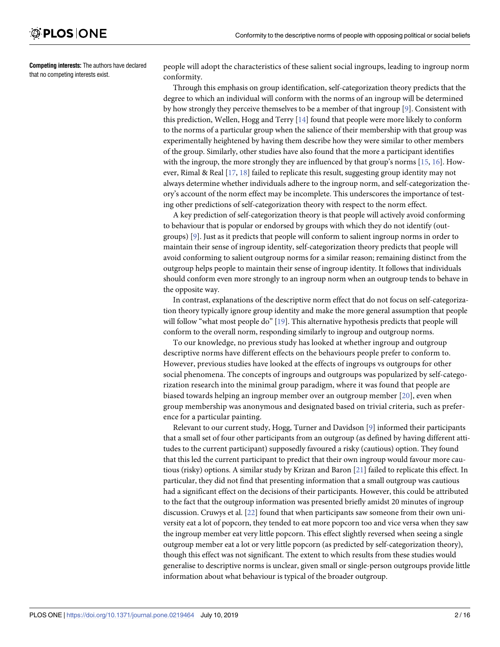<span id="page-1-0"></span>**Competing interests:** The authors have declared that no competing interests exist.

people will adopt the characteristics of these salient social ingroups, leading to ingroup norm conformity.

Through this emphasis on group identification, self-categorization theory predicts that the degree to which an individual will conform with the norms of an ingroup will be determined by how strongly they perceive themselves to be a member of that ingroup [[9](#page-13-0)]. Consistent with this prediction, Wellen, Hogg and Terry [\[14\]](#page-13-0) found that people were more likely to conform to the norms of a particular group when the salience of their membership with that group was experimentally heightened by having them describe how they were similar to other members of the group. Similarly, other studies have also found that the more a participant identifies with the ingroup, the more strongly they are influenced by that group's norms [\[15,](#page-13-0) [16\]](#page-13-0). However, Rimal & Real [\[17,](#page-13-0) [18\]](#page-13-0) failed to replicate this result, suggesting group identity may not always determine whether individuals adhere to the ingroup norm, and self-categorization theory's account of the norm effect may be incomplete. This underscores the importance of testing other predictions of self-categorization theory with respect to the norm effect.

A key prediction of self-categorization theory is that people will actively avoid conforming to behaviour that is popular or endorsed by groups with which they do not identify (outgroups) [[9](#page-13-0)]. Just as it predicts that people will conform to salient ingroup norms in order to maintain their sense of ingroup identity, self-categorization theory predicts that people will avoid conforming to salient outgroup norms for a similar reason; remaining distinct from the outgroup helps people to maintain their sense of ingroup identity. It follows that individuals should conform even more strongly to an ingroup norm when an outgroup tends to behave in the opposite way.

In contrast, explanations of the descriptive norm effect that do not focus on self-categorization theory typically ignore group identity and make the more general assumption that people will follow "what most people do" [[19](#page-13-0)]. This alternative hypothesis predicts that people will conform to the overall norm, responding similarly to ingroup and outgroup norms.

To our knowledge, no previous study has looked at whether ingroup and outgroup descriptive norms have different effects on the behaviours people prefer to conform to. However, previous studies have looked at the effects of ingroups vs outgroups for other social phenomena. The concepts of ingroups and outgroups was popularized by self-categorization research into the minimal group paradigm, where it was found that people are biased towards helping an ingroup member over an outgroup member [\[20](#page-14-0)], even when group membership was anonymous and designated based on trivial criteria, such as preference for a particular painting.

Relevant to our current study, Hogg, Turner and Davidson [[9](#page-13-0)] informed their participants that a small set of four other participants from an outgroup (as defined by having different attitudes to the current participant) supposedly favoured a risky (cautious) option. They found that this led the current participant to predict that their own ingroup would favour more cautious (risky) options. A similar study by Krizan and Baron [\[21\]](#page-14-0) failed to replicate this effect. In particular, they did not find that presenting information that a small outgroup was cautious had a significant effect on the decisions of their participants. However, this could be attributed to the fact that the outgroup information was presented briefly amidst 20 minutes of ingroup discussion. Cruwys et al. [[22](#page-14-0)] found that when participants saw someone from their own university eat a lot of popcorn, they tended to eat more popcorn too and vice versa when they saw the ingroup member eat very little popcorn. This effect slightly reversed when seeing a single outgroup member eat a lot or very little popcorn (as predicted by self-categorization theory), though this effect was not significant. The extent to which results from these studies would generalise to descriptive norms is unclear, given small or single-person outgroups provide little information about what behaviour is typical of the broader outgroup.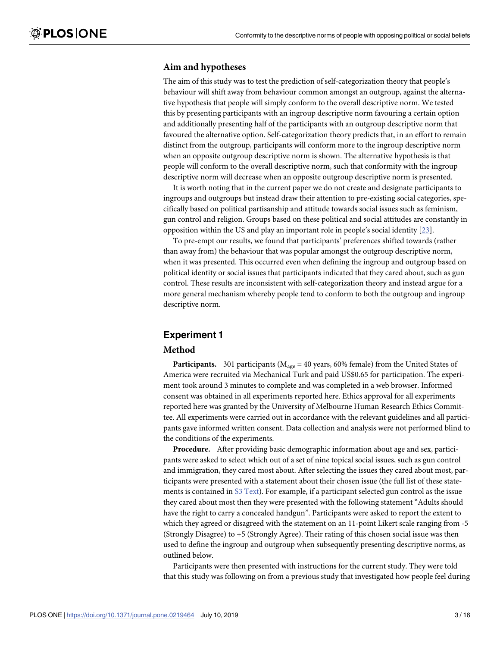#### <span id="page-2-0"></span>**Aim and hypotheses**

The aim of this study was to test the prediction of self-categorization theory that people's behaviour will shift away from behaviour common amongst an outgroup, against the alternative hypothesis that people will simply conform to the overall descriptive norm. We tested this by presenting participants with an ingroup descriptive norm favouring a certain option and additionally presenting half of the participants with an outgroup descriptive norm that favoured the alternative option. Self-categorization theory predicts that, in an effort to remain distinct from the outgroup, participants will conform more to the ingroup descriptive norm when an opposite outgroup descriptive norm is shown. The alternative hypothesis is that people will conform to the overall descriptive norm, such that conformity with the ingroup descriptive norm will decrease when an opposite outgroup descriptive norm is presented.

It is worth noting that in the current paper we do not create and designate participants to ingroups and outgroups but instead draw their attention to pre-existing social categories, specifically based on political partisanship and attitude towards social issues such as feminism, gun control and religion. Groups based on these political and social attitudes are constantly in opposition within the US and play an important role in people's social identity [[23](#page-14-0)].

To pre-empt our results, we found that participants' preferences shifted towards (rather than away from) the behaviour that was popular amongst the outgroup descriptive norm, when it was presented. This occurred even when defining the ingroup and outgroup based on political identity or social issues that participants indicated that they cared about, such as gun control. These results are inconsistent with self-categorization theory and instead argue for a more general mechanism whereby people tend to conform to both the outgroup and ingroup descriptive norm.

#### **Experiment 1**

#### **Method**

**Participants.** 301 participants ( $M_{\text{age}} = 40$  years, 60% female) from the United States of America were recruited via Mechanical Turk and paid US\$0.65 for participation. The experiment took around 3 minutes to complete and was completed in a web browser. Informed consent was obtained in all experiments reported here. Ethics approval for all experiments reported here was granted by the University of Melbourne Human Research Ethics Committee. All experiments were carried out in accordance with the relevant guidelines and all participants gave informed written consent. Data collection and analysis were not performed blind to the conditions of the experiments.

**Procedure.** After providing basic demographic information about age and sex, participants were asked to select which out of a set of nine topical social issues, such as gun control and immigration, they cared most about. After selecting the issues they cared about most, participants were presented with a statement about their chosen issue (the full list of these statements is contained in S3 [Text](#page-12-0)). For example, if a participant selected gun control as the issue they cared about most then they were presented with the following statement "Adults should have the right to carry a concealed handgun". Participants were asked to report the extent to which they agreed or disagreed with the statement on an 11-point Likert scale ranging from -5 (Strongly Disagree) to +5 (Strongly Agree). Their rating of this chosen social issue was then used to define the ingroup and outgroup when subsequently presenting descriptive norms, as outlined below.

Participants were then presented with instructions for the current study. They were told that this study was following on from a previous study that investigated how people feel during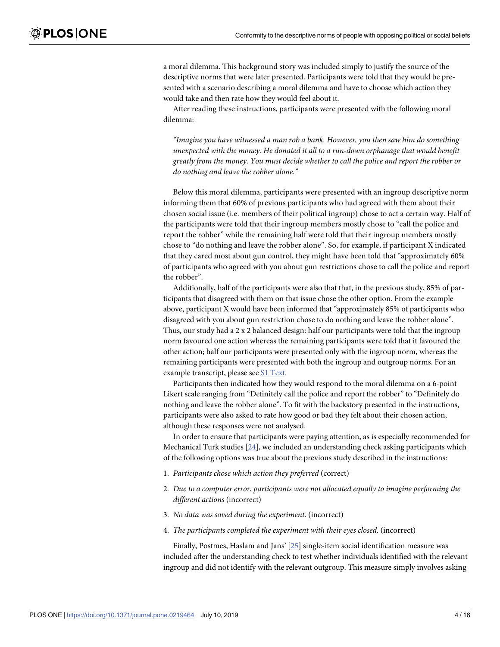<span id="page-3-0"></span>a moral dilemma. This background story was included simply to justify the source of the descriptive norms that were later presented. Participants were told that they would be presented with a scenario describing a moral dilemma and have to choose which action they would take and then rate how they would feel about it.

After reading these instructions, participants were presented with the following moral dilemma:

*"Imagine you have witnessed a man rob a bank. However, you then saw him do something unexpected with the money. He donated it all to a run-down orphanage that would benefit greatly from the money. You must decide whether to call the police and report the robber or do nothing and leave the robber alone."*

Below this moral dilemma, participants were presented with an ingroup descriptive norm informing them that 60% of previous participants who had agreed with them about their chosen social issue (i.e. members of their political ingroup) chose to act a certain way. Half of the participants were told that their ingroup members mostly chose to "call the police and report the robber" while the remaining half were told that their ingroup members mostly chose to "do nothing and leave the robber alone". So, for example, if participant X indicated that they cared most about gun control, they might have been told that "approximately 60% of participants who agreed with you about gun restrictions chose to call the police and report the robber".

Additionally, half of the participants were also that that, in the previous study, 85% of participants that disagreed with them on that issue chose the other option. From the example above, participant X would have been informed that "approximately 85% of participants who disagreed with you about gun restriction chose to do nothing and leave the robber alone". Thus, our study had a 2 x 2 balanced design: half our participants were told that the ingroup norm favoured one action whereas the remaining participants were told that it favoured the other action; half our participants were presented only with the ingroup norm, whereas the remaining participants were presented with both the ingroup and outgroup norms. For an example transcript, please see S1 [Text](#page-12-0).

Participants then indicated how they would respond to the moral dilemma on a 6-point Likert scale ranging from "Definitely call the police and report the robber" to "Definitely do nothing and leave the robber alone". To fit with the backstory presented in the instructions, participants were also asked to rate how good or bad they felt about their chosen action, although these responses were not analysed.

In order to ensure that participants were paying attention, as is especially recommended for Mechanical Turk studies [[24](#page-14-0)], we included an understanding check asking participants which of the following options was true about the previous study described in the instructions:

- 1. *Participants chose which action they preferred* (correct)
- 2. *Due to a computer error*, *participants were not allocated equally to imagine performing the different actions* (incorrect)
- 3. *No data was saved during the experiment*. (incorrect)
- 4. *The participants completed the experiment with their eyes closed*. (incorrect)

Finally, Postmes, Haslam and Jans' [\[25\]](#page-14-0) single-item social identification measure was included after the understanding check to test whether individuals identified with the relevant ingroup and did not identify with the relevant outgroup. This measure simply involves asking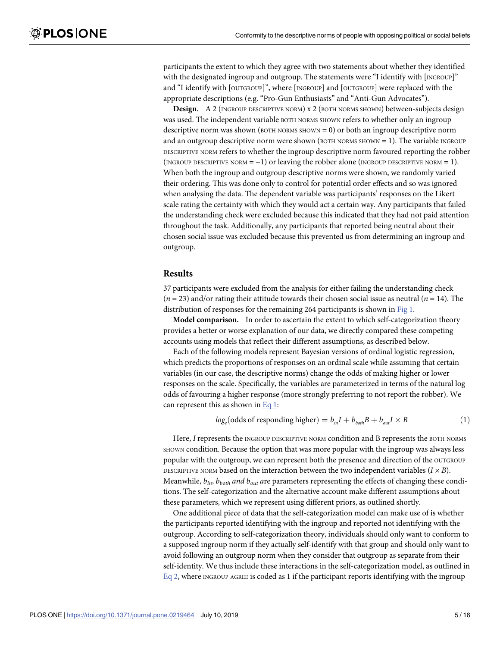<span id="page-4-0"></span>participants the extent to which they agree with two statements about whether they identified with the designated ingroup and outgroup. The statements were "I identify with [INGROUP]" and "I identify with [OUTGROUP]", where [INGROUP] and [OUTGROUP] were replaced with the appropriate descriptions (e.g. "Pro-Gun Enthusiasts" and "Anti-Gun Advocates").

**Design.** A 2 (INGROUP DESCRIPTIVE NORM) x 2 (BOTH NORMS SHOWN) between-subjects design was used. The independent variable BOTH NORMS SHOWN refers to whether only an ingroup descriptive norm was shown (BOTH NORMS SHOWN  $= 0$ ) or both an ingroup descriptive norm and an outgroup descriptive norm were shown (BOTH NORMS SHOWN  $= 1$ ). The variable INGROUP DESCRIPTIVE NORM refers to whether the ingroup descriptive norm favoured reporting the robber (INGROUP DESCRIPTIVE NORM =  $-1$ ) or leaving the robber alone (INGROUP DESCRIPTIVE NORM = 1). When both the ingroup and outgroup descriptive norms were shown, we randomly varied their ordering. This was done only to control for potential order effects and so was ignored when analysing the data. The dependent variable was participants' responses on the Likert scale rating the certainty with which they would act a certain way. Any participants that failed the understanding check were excluded because this indicated that they had not paid attention throughout the task. Additionally, any participants that reported being neutral about their chosen social issue was excluded because this prevented us from determining an ingroup and outgroup.

#### **Results**

37 participants were excluded from the analysis for either failing the understanding check (*n* = 23) and/or rating their attitude towards their chosen social issue as neutral (*n* = 14). The distribution of responses for the remaining 264 participants is shown in [Fig](#page-5-0) 1.

**Model comparison.** In order to ascertain the extent to which self-categorization theory provides a better or worse explanation of our data, we directly compared these competing accounts using models that reflect their different assumptions, as described below.

Each of the following models represent Bayesian versions of ordinal logistic regression, which predicts the proportions of responses on an ordinal scale while assuming that certain variables (in our case, the descriptive norms) change the odds of making higher or lower responses on the scale. Specifically, the variables are parameterized in terms of the natural log odds of favouring a higher response (more strongly preferring to not report the robber). We can represent this as shown in Eq 1:

$$
log_e(\text{odds of responding higher}) = b_{in}I + b_{both}B + b_{out}I \times B \tag{1}
$$

Here, *I* represents the INGROUP DESCRIPTIVE NORM condition and B represents the BOTH NORMS SHOWN condition. Because the option that was more popular with the ingroup was always less popular with the outgroup, we can represent both the presence and direction of the OUTGROUP DESCRIPTIVE NORM based on the interaction between the two independent variables  $(I \times B)$ . Meanwhile,  $b_{in}$ ,  $b_{both}$  *and*  $b_{out}$  are parameters representing the effects of changing these conditions. The self-categorization and the alternative account make different assumptions about these parameters, which we represent using different priors, as outlined shortly.

One additional piece of data that the self-categorization model can make use of is whether the participants reported identifying with the ingroup and reported not identifying with the outgroup. According to self-categorization theory, individuals should only want to conform to a supposed ingroup norm if they actually self-identify with that group and should only want to avoid following an outgroup norm when they consider that outgroup as separate from their self-identity. We thus include these interactions in the self-categorization model, as outlined in [Eq](#page-5-0) 2, where INGROUP AGREE is coded as 1 if the participant reports identifying with the ingroup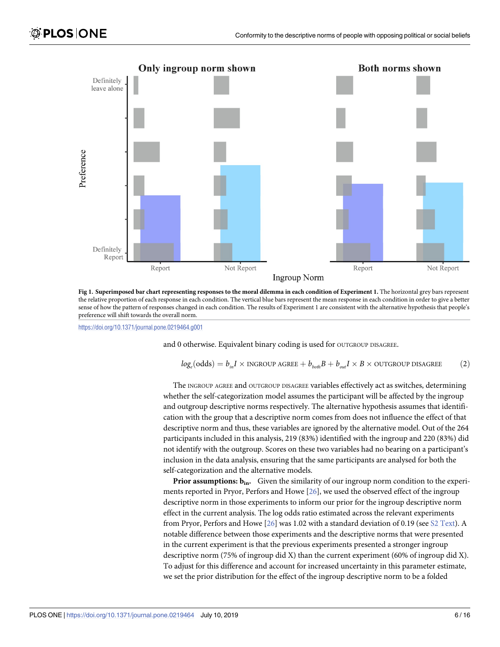<span id="page-5-0"></span>

[Fig](#page-4-0) 1. Superimposed bar chart representing responses to the moral dilemma in each condition of Experiment 1. The horizontal grey bars represent the relative proportion of each response in each condition. The vertical blue bars represent the mean response in each condition in order to give a better sense of how the pattern of responses changed in each condition. The results of Experiment 1 are consistent with the alternative hypothesis that people's preference will shift towards the overall norm.

<https://doi.org/10.1371/journal.pone.0219464.g001>

and 0 otherwise. Equivalent binary coding is used for OUTGROUP DISAGREE.

$$
log_e(\text{odds}) = b_{in}I \times \text{INGROUP AGREE} + b_{both}B + b_{out}I \times B \times \text{OUTGROUP DISAGREE}
$$
 (2)

The INGROUP AGREE and OUTGROUP DISAGREE variables effectively act as switches, determining whether the self-categorization model assumes the participant will be affected by the ingroup and outgroup descriptive norms respectively. The alternative hypothesis assumes that identification with the group that a descriptive norm comes from does not influence the effect of that descriptive norm and thus, these variables are ignored by the alternative model. Out of the 264 participants included in this analysis, 219 (83%) identified with the ingroup and 220 (83%) did not identify with the outgroup. Scores on these two variables had no bearing on a participant's inclusion in the data analysis, ensuring that the same participants are analysed for both the self-categorization and the alternative models.

Prior assumptions:  $b_{in}$ . Given the similarity of our ingroup norm condition to the experiments reported in Pryor, Perfors and Howe [\[26\]](#page-14-0), we used the observed effect of the ingroup descriptive norm in those experiments to inform our prior for the ingroup descriptive norm effect in the current analysis. The log odds ratio estimated across the relevant experiments from Pryor, Perfors and Howe [[26](#page-14-0)] was 1.02 with a standard deviation of 0.19 (see S2 [Text](#page-12-0)). A notable difference between those experiments and the descriptive norms that were presented in the current experiment is that the previous experiments presented a stronger ingroup descriptive norm (75% of ingroup did X) than the current experiment (60% of ingroup did X). To adjust for this difference and account for increased uncertainty in this parameter estimate, we set the prior distribution for the effect of the ingroup descriptive norm to be a folded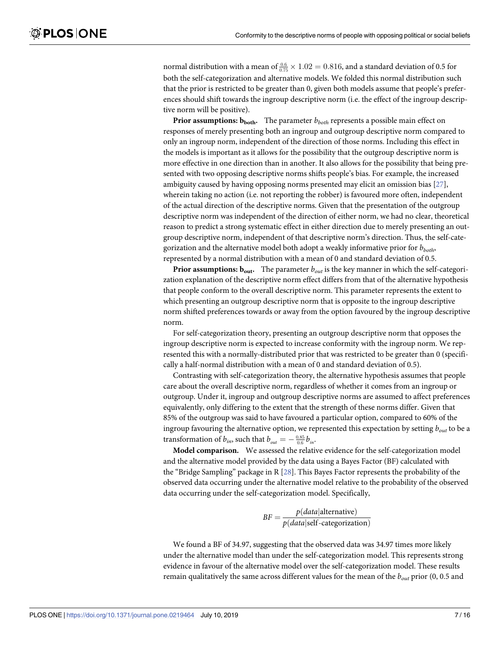<span id="page-6-0"></span>normal distribution with a mean of  $\frac{0.6}{0.75} \times 1.02 = 0.816$ , and a standard deviation of 0.5 for both the self-categorization and alternative models. We folded this normal distribution such that the prior is restricted to be greater than 0, given both models assume that people's preferences should shift towards the ingroup descriptive norm (i.e. the effect of the ingroup descriptive norm will be positive).

**Prior assumptions: b<sub>both</sub>.** The parameter  $b_{both}$  represents a possible main effect on responses of merely presenting both an ingroup and outgroup descriptive norm compared to only an ingroup norm, independent of the direction of those norms. Including this effect in the models is important as it allows for the possibility that the outgroup descriptive norm is more effective in one direction than in another. It also allows for the possibility that being presented with two opposing descriptive norms shifts people's bias. For example, the increased ambiguity caused by having opposing norms presented may elicit an omission bias [[27](#page-14-0)], wherein taking no action (i.e. not reporting the robber) is favoured more often, independent of the actual direction of the descriptive norms. Given that the presentation of the outgroup descriptive norm was independent of the direction of either norm, we had no clear, theoretical reason to predict a strong systematic effect in either direction due to merely presenting an outgroup descriptive norm, independent of that descriptive norm's direction. Thus, the self-categorization and the alternative model both adopt a weakly informative prior for *bboth*, represented by a normal distribution with a mean of 0 and standard deviation of 0.5.

**Prior assumptions:**  $\mathbf{b}_{\text{out}}$ . The parameter  $b_{\text{out}}$  is the key manner in which the self-categorization explanation of the descriptive norm effect differs from that of the alternative hypothesis that people conform to the overall descriptive norm. This parameter represents the extent to which presenting an outgroup descriptive norm that is opposite to the ingroup descriptive norm shifted preferences towards or away from the option favoured by the ingroup descriptive norm.

For self-categorization theory, presenting an outgroup descriptive norm that opposes the ingroup descriptive norm is expected to increase conformity with the ingroup norm. We represented this with a normally-distributed prior that was restricted to be greater than 0 (specifically a half-normal distribution with a mean of 0 and standard deviation of 0.5).

Contrasting with self-categorization theory, the alternative hypothesis assumes that people care about the overall descriptive norm, regardless of whether it comes from an ingroup or outgroup. Under it, ingroup and outgroup descriptive norms are assumed to affect preferences equivalently, only differing to the extent that the strength of these norms differ. Given that 85% of the outgroup was said to have favoured a particular option, compared to 60% of the ingroup favouring the alternative option, we represented this expectation by setting  $b_{out}$  to be a transformation of  $b_{in}$ , such that  $b_{out} = -\frac{0.85}{0.6} b_{in}$ .

**Model comparison.** We assessed the relative evidence for the self-categorization model and the alternative model provided by the data using a Bayes Factor (BF) calculated with the "Bridge Sampling" package in R [\[28\]](#page-14-0). This Bayes Factor represents the probability of the observed data occurring under the alternative model relative to the probability of the observed data occurring under the self-categorization model. Specifically,

$$
BF = \frac{p(data|alternative)}{p(data|self-categorization)}
$$

We found a BF of 34.97, suggesting that the observed data was 34.97 times more likely under the alternative model than under the self-categorization model. This represents strong evidence in favour of the alternative model over the self-categorization model. These results remain qualitatively the same across different values for the mean of the *bout* prior (0, 0.5 and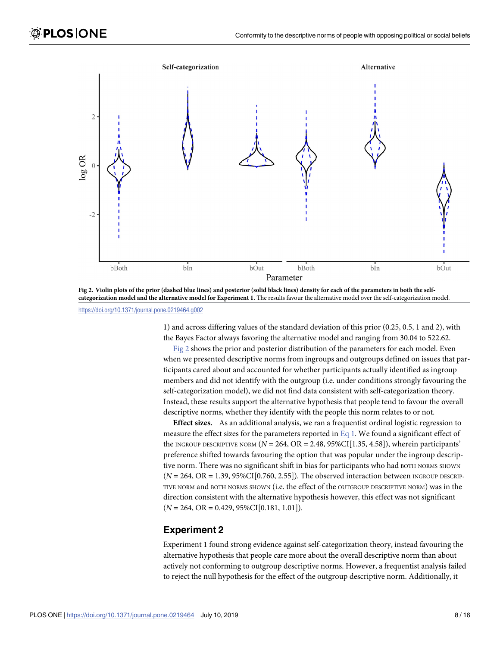

Fig 2. Violin plots of the prior (dashed blue lines) and posterior (solid black lines) density for each of the parameters in both the self**categorization model and the alternative model for Experiment 1.** The results favour the alternative model over the self-categorization model.

<https://doi.org/10.1371/journal.pone.0219464.g002>

1) and across differing values of the standard deviation of this prior (0.25, 0.5, 1 and 2), with the Bayes Factor always favoring the alternative model and ranging from 30.04 to 522.62.

Fig 2 shows the prior and posterior distribution of the parameters for each model. Even when we presented descriptive norms from ingroups and outgroups defined on issues that participants cared about and accounted for whether participants actually identified as ingroup members and did not identify with the outgroup (i.e. under conditions strongly favouring the self-categorization model), we did not find data consistent with self-categorization theory. Instead, these results support the alternative hypothesis that people tend to favour the overall descriptive norms, whether they identify with the people this norm relates to or not.

**Effect sizes.** As an additional analysis, we ran a frequentist ordinal logistic regression to measure the effect sizes for the parameters reported in [Eq](#page-4-0) 1. We found a significant effect of the INGROUP DESCRIPTIVE NORM  $(N = 264, OR = 2.48, 95\% CI[1.35, 4.58])$ , wherein participants' preference shifted towards favouring the option that was popular under the ingroup descriptive norm. There was no significant shift in bias for participants who had BOTH NORMS SHOWN (*N* = 264, OR = 1.39, 95%CI[0.760, 2.55]). The observed interaction between INGROUP DESCRIP-TIVE NORM and BOTH NORMS SHOWN (i.e. the effect of the OUTGROUP DESCRIPTIVE NORM) was in the direction consistent with the alternative hypothesis however, this effect was not significant  $(N = 264, \text{ OR } = 0.429, 95\% \text{CI}[0.181, 1.01]).$ 

#### **Experiment 2**

Experiment 1 found strong evidence against self-categorization theory, instead favouring the alternative hypothesis that people care more about the overall descriptive norm than about actively not conforming to outgroup descriptive norms. However, a frequentist analysis failed to reject the null hypothesis for the effect of the outgroup descriptive norm. Additionally, it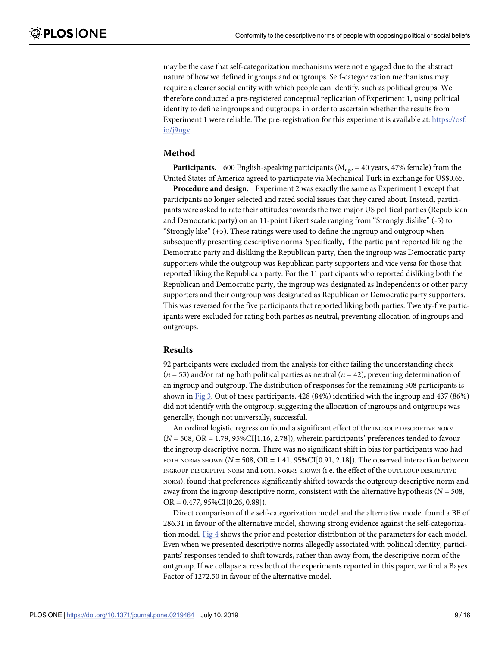<span id="page-8-0"></span>may be the case that self-categorization mechanisms were not engaged due to the abstract nature of how we defined ingroups and outgroups. Self-categorization mechanisms may require a clearer social entity with which people can identify, such as political groups. We therefore conducted a pre-registered conceptual replication of Experiment 1, using political identity to define ingroups and outgroups, in order to ascertain whether the results from Experiment 1 were reliable. The pre-registration for this experiment is available at: [https://osf.](https://osf.io/j9ugv) [io/j9ugv.](https://osf.io/j9ugv)

#### **Method**

**Participants.** 600 English-speaking participants ( $M_{\text{age}} = 40$  years, 47% female) from the United States of America agreed to participate via Mechanical Turk in exchange for US\$0.65.

**Procedure and design.** Experiment 2 was exactly the same as Experiment 1 except that participants no longer selected and rated social issues that they cared about. Instead, participants were asked to rate their attitudes towards the two major US political parties (Republican and Democratic party) on an 11-point Likert scale ranging from "Strongly dislike" (-5) to "Strongly like" (+5). These ratings were used to define the ingroup and outgroup when subsequently presenting descriptive norms. Specifically, if the participant reported liking the Democratic party and disliking the Republican party, then the ingroup was Democratic party supporters while the outgroup was Republican party supporters and vice versa for those that reported liking the Republican party. For the 11 participants who reported disliking both the Republican and Democratic party, the ingroup was designated as Independents or other party supporters and their outgroup was designated as Republican or Democratic party supporters. This was reversed for the five participants that reported liking both parties. Twenty-five participants were excluded for rating both parties as neutral, preventing allocation of ingroups and outgroups.

#### **Results**

92 participants were excluded from the analysis for either failing the understanding check  $(n = 53)$  and/or rating both political parties as neutral  $(n = 42)$ , preventing determination of an ingroup and outgroup. The distribution of responses for the remaining 508 participants is shown in [Fig](#page-9-0) 3. Out of these participants, 428 (84%) identified with the ingroup and 437 (86%) did not identify with the outgroup, suggesting the allocation of ingroups and outgroups was generally, though not universally, successful.

An ordinal logistic regression found a significant effect of the INGROUP DESCRIPTIVE NORM (*N* = 508, OR = 1.79, 95%CI[1.16, 2.78]), wherein participants' preferences tended to favour the ingroup descriptive norm. There was no significant shift in bias for participants who had BOTH NORMS SHOWN  $(N = 508, OR = 1.41, 95\%CI[0.91, 2.18])$ . The observed interaction between INGROUP DESCRIPTIVE NORM and BOTH NORMS SHOWN (i.e. the effect of the OUTGROUP DESCRIPTIVE NORM), found that preferences significantly shifted towards the outgroup descriptive norm and away from the ingroup descriptive norm, consistent with the alternative hypothesis ( $N = 508$ ,  $OR = 0.477, 95\% CI[0.26, 0.88]$ .

Direct comparison of the self-categorization model and the alternative model found a BF of 286.31 in favour of the alternative model, showing strong evidence against the self-categoriza-tion model. [Fig](#page-9-0) 4 shows the prior and posterior distribution of the parameters for each model. Even when we presented descriptive norms allegedly associated with political identity, participants' responses tended to shift towards, rather than away from, the descriptive norm of the outgroup. If we collapse across both of the experiments reported in this paper, we find a Bayes Factor of 1272.50 in favour of the alternative model.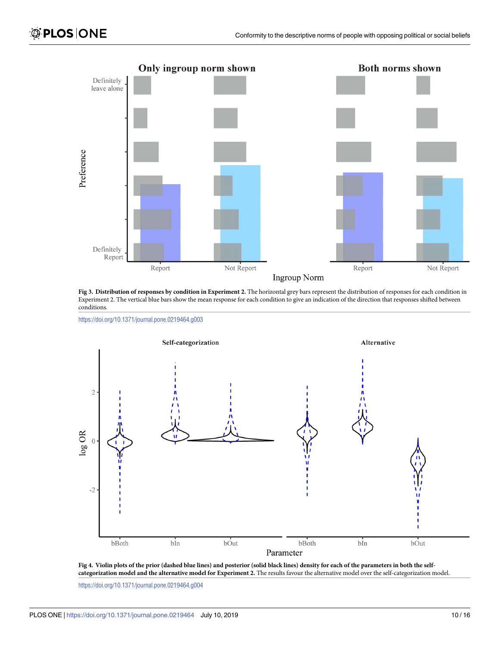<span id="page-9-0"></span>

**[Fig](#page-8-0) 3. Distribution of responses by condition in Experiment 2.** The horizontal grey bars represent the distribution of responses for each condition in Experiment 2. The vertical blue bars show the mean response for each condition to give an indication of the direction that responses shifted between conditions.

<https://doi.org/10.1371/journal.pone.0219464.g003>



[Fig](#page-8-0) 4. Violin plots of the prior (dashed blue lines) and posterior (solid black lines) density for each of the parameters in both the self**categorization model and the alternative model for Experiment 2.** The results favour the alternative model over the self-categorization model.

<https://doi.org/10.1371/journal.pone.0219464.g004>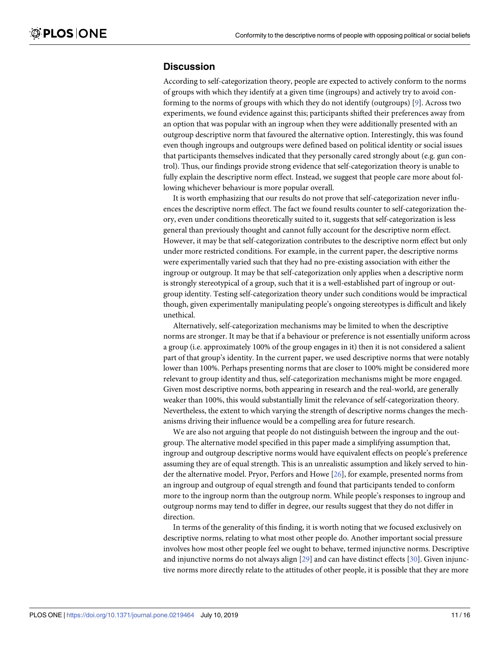#### <span id="page-10-0"></span>**Discussion**

According to self-categorization theory, people are expected to actively conform to the norms of groups with which they identify at a given time (ingroups) and actively try to avoid conforming to the norms of groups with which they do not identify (outgroups) [\[9\]](#page-13-0). Across two experiments, we found evidence against this; participants shifted their preferences away from an option that was popular with an ingroup when they were additionally presented with an outgroup descriptive norm that favoured the alternative option. Interestingly, this was found even though ingroups and outgroups were defined based on political identity or social issues that participants themselves indicated that they personally cared strongly about (e.g. gun control). Thus, our findings provide strong evidence that self-categorization theory is unable to fully explain the descriptive norm effect. Instead, we suggest that people care more about following whichever behaviour is more popular overall.

It is worth emphasizing that our results do not prove that self-categorization never influences the descriptive norm effect. The fact we found results counter to self-categorization theory, even under conditions theoretically suited to it, suggests that self-categorization is less general than previously thought and cannot fully account for the descriptive norm effect. However, it may be that self-categorization contributes to the descriptive norm effect but only under more restricted conditions. For example, in the current paper, the descriptive norms were experimentally varied such that they had no pre-existing association with either the ingroup or outgroup. It may be that self-categorization only applies when a descriptive norm is strongly stereotypical of a group, such that it is a well-established part of ingroup or outgroup identity. Testing self-categorization theory under such conditions would be impractical though, given experimentally manipulating people's ongoing stereotypes is difficult and likely unethical.

Alternatively, self-categorization mechanisms may be limited to when the descriptive norms are stronger. It may be that if a behaviour or preference is not essentially uniform across a group (i.e. approximately 100% of the group engages in it) then it is not considered a salient part of that group's identity. In the current paper, we used descriptive norms that were notably lower than 100%. Perhaps presenting norms that are closer to 100% might be considered more relevant to group identity and thus, self-categorization mechanisms might be more engaged. Given most descriptive norms, both appearing in research and the real-world, are generally weaker than 100%, this would substantially limit the relevance of self-categorization theory. Nevertheless, the extent to which varying the strength of descriptive norms changes the mechanisms driving their influence would be a compelling area for future research.

We are also not arguing that people do not distinguish between the ingroup and the outgroup. The alternative model specified in this paper made a simplifying assumption that, ingroup and outgroup descriptive norms would have equivalent effects on people's preference assuming they are of equal strength. This is an unrealistic assumption and likely served to hinder the alternative model. Pryor, Perfors and Howe [[26](#page-14-0)], for example, presented norms from an ingroup and outgroup of equal strength and found that participants tended to conform more to the ingroup norm than the outgroup norm. While people's responses to ingroup and outgroup norms may tend to differ in degree, our results suggest that they do not differ in direction.

In terms of the generality of this finding, it is worth noting that we focused exclusively on descriptive norms, relating to what most other people do. Another important social pressure involves how most other people feel we ought to behave, termed injunctive norms. Descriptive and injunctive norms do not always align [[29](#page-14-0)] and can have distinct effects [[30](#page-14-0)]. Given injunctive norms more directly relate to the attitudes of other people, it is possible that they are more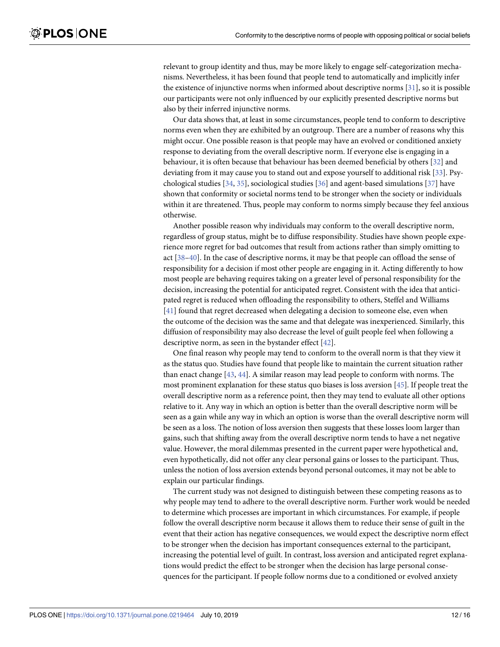<span id="page-11-0"></span>relevant to group identity and thus, may be more likely to engage self-categorization mechanisms. Nevertheless, it has been found that people tend to automatically and implicitly infer the existence of injunctive norms when informed about descriptive norms  $[31]$  $[31]$  $[31]$ , so it is possible our participants were not only influenced by our explicitly presented descriptive norms but also by their inferred injunctive norms.

Our data shows that, at least in some circumstances, people tend to conform to descriptive norms even when they are exhibited by an outgroup. There are a number of reasons why this might occur. One possible reason is that people may have an evolved or conditioned anxiety response to deviating from the overall descriptive norm. If everyone else is engaging in a behaviour, it is often because that behaviour has been deemed beneficial by others [\[32\]](#page-14-0) and deviating from it may cause you to stand out and expose yourself to additional risk [[33](#page-14-0)]. Psychological studies [[34](#page-14-0), [35](#page-14-0)], sociological studies [\[36\]](#page-14-0) and agent-based simulations [[37](#page-14-0)] have shown that conformity or societal norms tend to be stronger when the society or individuals within it are threatened. Thus, people may conform to norms simply because they feel anxious otherwise.

Another possible reason why individuals may conform to the overall descriptive norm, regardless of group status, might be to diffuse responsibility. Studies have shown people experience more regret for bad outcomes that result from actions rather than simply omitting to act [\[38–40](#page-14-0)]. In the case of descriptive norms, it may be that people can offload the sense of responsibility for a decision if most other people are engaging in it. Acting differently to how most people are behaving requires taking on a greater level of personal responsibility for the decision, increasing the potential for anticipated regret. Consistent with the idea that anticipated regret is reduced when offloading the responsibility to others, Steffel and Williams [\[41\]](#page-14-0) found that regret decreased when delegating a decision to someone else, even when the outcome of the decision was the same and that delegate was inexperienced. Similarly, this diffusion of responsibility may also decrease the level of guilt people feel when following a descriptive norm, as seen in the bystander effect [[42](#page-14-0)].

One final reason why people may tend to conform to the overall norm is that they view it as the status quo. Studies have found that people like to maintain the current situation rather than enact change [[43](#page-14-0), [44](#page-15-0)]. A similar reason may lead people to conform with norms. The most prominent explanation for these status quo biases is loss aversion [[45](#page-15-0)]. If people treat the overall descriptive norm as a reference point, then they may tend to evaluate all other options relative to it. Any way in which an option is better than the overall descriptive norm will be seen as a gain while any way in which an option is worse than the overall descriptive norm will be seen as a loss. The notion of loss aversion then suggests that these losses loom larger than gains, such that shifting away from the overall descriptive norm tends to have a net negative value. However, the moral dilemmas presented in the current paper were hypothetical and, even hypothetically, did not offer any clear personal gains or losses to the participant. Thus, unless the notion of loss aversion extends beyond personal outcomes, it may not be able to explain our particular findings.

The current study was not designed to distinguish between these competing reasons as to why people may tend to adhere to the overall descriptive norm. Further work would be needed to determine which processes are important in which circumstances. For example, if people follow the overall descriptive norm because it allows them to reduce their sense of guilt in the event that their action has negative consequences, we would expect the descriptive norm effect to be stronger when the decision has important consequences external to the participant, increasing the potential level of guilt. In contrast, loss aversion and anticipated regret explanations would predict the effect to be stronger when the decision has large personal consequences for the participant. If people follow norms due to a conditioned or evolved anxiety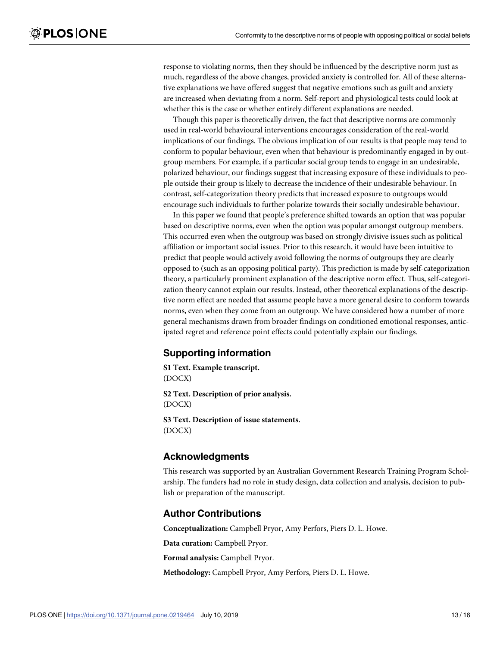<span id="page-12-0"></span>response to violating norms, then they should be influenced by the descriptive norm just as much, regardless of the above changes, provided anxiety is controlled for. All of these alternative explanations we have offered suggest that negative emotions such as guilt and anxiety are increased when deviating from a norm. Self-report and physiological tests could look at whether this is the case or whether entirely different explanations are needed.

Though this paper is theoretically driven, the fact that descriptive norms are commonly used in real-world behavioural interventions encourages consideration of the real-world implications of our findings. The obvious implication of our results is that people may tend to conform to popular behaviour, even when that behaviour is predominantly engaged in by outgroup members. For example, if a particular social group tends to engage in an undesirable, polarized behaviour, our findings suggest that increasing exposure of these individuals to people outside their group is likely to decrease the incidence of their undesirable behaviour. In contrast, self-categorization theory predicts that increased exposure to outgroups would encourage such individuals to further polarize towards their socially undesirable behaviour.

In this paper we found that people's preference shifted towards an option that was popular based on descriptive norms, even when the option was popular amongst outgroup members. This occurred even when the outgroup was based on strongly divisive issues such as political affiliation or important social issues. Prior to this research, it would have been intuitive to predict that people would actively avoid following the norms of outgroups they are clearly opposed to (such as an opposing political party). This prediction is made by self-categorization theory, a particularly prominent explanation of the descriptive norm effect. Thus, self-categorization theory cannot explain our results. Instead, other theoretical explanations of the descriptive norm effect are needed that assume people have a more general desire to conform towards norms, even when they come from an outgroup. We have considered how a number of more general mechanisms drawn from broader findings on conditioned emotional responses, anticipated regret and reference point effects could potentially explain our findings.

#### **Supporting information**

**S1 [Text](http://www.plosone.org/article/fetchSingleRepresentation.action?uri=info:doi/10.1371/journal.pone.0219464.s001). Example transcript.** (DOCX)

**S2 [Text](http://www.plosone.org/article/fetchSingleRepresentation.action?uri=info:doi/10.1371/journal.pone.0219464.s002). Description of prior analysis.** (DOCX)

**S3 [Text](http://www.plosone.org/article/fetchSingleRepresentation.action?uri=info:doi/10.1371/journal.pone.0219464.s003). Description of issue statements.** (DOCX)

#### **Acknowledgments**

This research was supported by an Australian Government Research Training Program Scholarship. The funders had no role in study design, data collection and analysis, decision to publish or preparation of the manuscript.

#### **Author Contributions**

**Conceptualization:** Campbell Pryor, Amy Perfors, Piers D. L. Howe.

**Data curation:** Campbell Pryor.

**Formal analysis:** Campbell Pryor.

**Methodology:** Campbell Pryor, Amy Perfors, Piers D. L. Howe.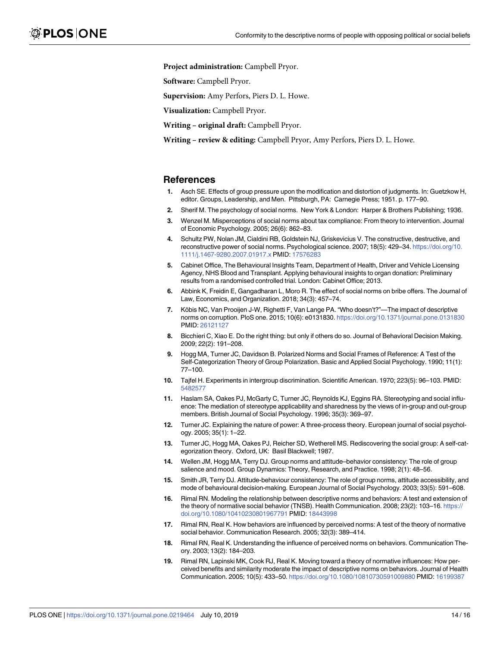<span id="page-13-0"></span>**Project administration:** Campbell Pryor.

**Software:** Campbell Pryor.

**Supervision:** Amy Perfors, Piers D. L. Howe.

**Visualization:** Campbell Pryor.

**Writing – original draft:** Campbell Pryor.

**Writing – review & editing:** Campbell Pryor, Amy Perfors, Piers D. L. Howe.

#### **References**

- **[1](#page-0-0).** Asch SE. Effects of group pressure upon the modification and distortion of judgments. In: Guetzkow H, editor. Groups, Leadership, and Men. Pittsburgh, PA: Carnegie Press; 1951. p. 177–90.
- **[2](#page-0-0).** Sherif M. The psychology of social norms. New York & London: Harper & Brothers Publishing; 1936.
- **[3](#page-0-0).** Wenzel M. Misperceptions of social norms about tax compliance: From theory to intervention. Journal of Economic Psychology. 2005; 26(6): 862–83.
- **[4](#page-0-0).** Schultz PW, Nolan JM, Cialdini RB, Goldstein NJ, Griskevicius V. The constructive, destructive, and reconstructive power of social norms. Psychological science. 2007; 18(5): 429–34. [https://doi.org/10.](https://doi.org/10.1111/j.1467-9280.2007.01917.x) [1111/j.1467-9280.2007.01917.x](https://doi.org/10.1111/j.1467-9280.2007.01917.x) PMID: [17576283](http://www.ncbi.nlm.nih.gov/pubmed/17576283)
- **[5](#page-0-0).** Cabinet Office, The Behavioural Insights Team, Department of Health, Driver and Vehicle Licensing Agency, NHS Blood and Transplant. Applying behavioural insights to organ donation: Preliminary results from a randomised controlled trial. London: Cabinet Office; 2013.
- **[6](#page-0-0).** Abbink K, Freidin E, Gangadharan L, Moro R. The effect of social norms on bribe offers. The Journal of Law, Economics, and Organization. 2018; 34(3): 457–74.
- **[7](#page-0-0).** Köbis NC, Van Prooijen J-W, Righetti F, Van Lange PA. "Who doesn't?"—The impact of descriptive norms on corruption. PloS one. 2015; 10(6): e0131830. <https://doi.org/10.1371/journal.pone.0131830> PMID: [26121127](http://www.ncbi.nlm.nih.gov/pubmed/26121127)
- **[8](#page-0-0).** Bicchieri C, Xiao E. Do the right thing: but only if others do so. Journal of Behavioral Decision Making. 2009; 22(2): 191–208.
- **[9](#page-0-0).** Hogg MA, Turner JC, Davidson B. Polarized Norms and Social Frames of Reference: A Test of the Self-Categorization Theory of Group Polarization. Basic and Applied Social Psychology. 1990; 11(1): 77–100.
- **[10](#page-0-0).** Tajfel H. Experiments in intergroup discrimination. Scientific American. 1970; 223(5): 96–103. PMID: [5482577](http://www.ncbi.nlm.nih.gov/pubmed/5482577)
- **[11](#page-0-0).** Haslam SA, Oakes PJ, McGarty C, Turner JC, Reynolds KJ, Eggins RA. Stereotyping and social influence: The mediation of stereotype applicability and sharedness by the views of in-group and out-group members. British Journal of Social Psychology. 1996; 35(3): 369–97.
- **[12](#page-0-0).** Turner JC. Explaining the nature of power: A three-process theory. European journal of social psychology. 2005; 35(1): 1–22.
- **[13](#page-0-0).** Turner JC, Hogg MA, Oakes PJ, Reicher SD, Wetherell MS. Rediscovering the social group: A self-categorization theory. Oxford, UK: Basil Blackwell; 1987.
- **[14](#page-1-0).** Wellen JM, Hogg MA, Terry DJ. Group norms and attitude–behavior consistency: The role of group salience and mood. Group Dynamics: Theory, Research, and Practice. 1998; 2(1): 48–56.
- **[15](#page-1-0).** Smith JR, Terry DJ. Attitude-behaviour consistency: The role of group norms, attitude accessibility, and mode of behavioural decision-making. European Journal of Social Psychology. 2003; 33(5): 591–608.
- **[16](#page-1-0).** Rimal RN. Modeling the relationship between descriptive norms and behaviors: A test and extension of the theory of normative social behavior (TNSB). Health Communication. 2008; 23(2): 103-16. [https://](https://doi.org/10.1080/10410230801967791) [doi.org/10.1080/10410230801967791](https://doi.org/10.1080/10410230801967791) PMID: [18443998](http://www.ncbi.nlm.nih.gov/pubmed/18443998)
- **[17](#page-1-0).** Rimal RN, Real K. How behaviors are influenced by perceived norms: A test of the theory of normative social behavior. Communication Research. 2005; 32(3): 389–414.
- **[18](#page-1-0).** Rimal RN, Real K. Understanding the influence of perceived norms on behaviors. Communication Theory. 2003; 13(2): 184–203.
- **[19](#page-1-0).** Rimal RN, Lapinski MK, Cook RJ, Real K. Moving toward a theory of normative influences: How perceived benefits and similarity moderate the impact of descriptive norms on behaviors. Journal of Health Communication. 2005; 10(5): 433–50. <https://doi.org/10.1080/10810730591009880> PMID: [16199387](http://www.ncbi.nlm.nih.gov/pubmed/16199387)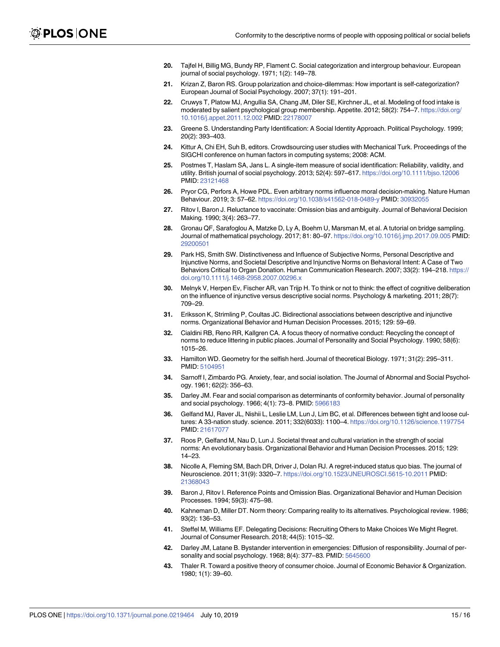- <span id="page-14-0"></span>**[20](#page-1-0).** Tajfel H, Billig MG, Bundy RP, Flament C. Social categorization and intergroup behaviour. European journal of social psychology. 1971; 1(2): 149–78.
- **[21](#page-1-0).** Krizan Z, Baron RS. Group polarization and choice-dilemmas: How important is self-categorization? European Journal of Social Psychology. 2007; 37(1): 191–201.
- **[22](#page-1-0).** Cruwys T, Platow MJ, Angullia SA, Chang JM, Diler SE, Kirchner JL, et al. Modeling of food intake is moderated by salient psychological group membership. Appetite. 2012; 58(2): 754–7. [https://doi.org/](https://doi.org/10.1016/j.appet.2011.12.002) [10.1016/j.appet.2011.12.002](https://doi.org/10.1016/j.appet.2011.12.002) PMID: [22178007](http://www.ncbi.nlm.nih.gov/pubmed/22178007)
- **[23](#page-2-0).** Greene S. Understanding Party Identification: A Social Identity Approach. Political Psychology. 1999; 20(2): 393–403.
- **[24](#page-3-0).** Kittur A, Chi EH, Suh B, editors. Crowdsourcing user studies with Mechanical Turk. Proceedings of the SIGCHI conference on human factors in computing systems; 2008: ACM.
- **[25](#page-3-0).** Postmes T, Haslam SA, Jans L. A single-item measure of social identification: Reliability, validity, and utility. British journal of social psychology. 2013; 52(4): 597–617. <https://doi.org/10.1111/bjso.12006> PMID: [23121468](http://www.ncbi.nlm.nih.gov/pubmed/23121468)
- **[26](#page-5-0).** Pryor CG, Perfors A, Howe PDL. Even arbitrary norms influence moral decision-making. Nature Human Behaviour. 2019; 3: 57–62. <https://doi.org/10.1038/s41562-018-0489-y> PMID: [30932055](http://www.ncbi.nlm.nih.gov/pubmed/30932055)
- **[27](#page-6-0).** Ritov I, Baron J. Reluctance to vaccinate: Omission bias and ambiguity. Journal of Behavioral Decision Making. 1990; 3(4): 263–77.
- **[28](#page-6-0).** Gronau QF, Sarafoglou A, Matzke D, Ly A, Boehm U, Marsman M, et al. A tutorial on bridge sampling. Journal of mathematical psychology. 2017; 81: 80–97. <https://doi.org/10.1016/j.jmp.2017.09.005> PMID: [29200501](http://www.ncbi.nlm.nih.gov/pubmed/29200501)
- **[29](#page-10-0).** Park HS, Smith SW. Distinctiveness and Influence of Subjective Norms, Personal Descriptive and Injunctive Norms, and Societal Descriptive and Injunctive Norms on Behavioral Intent: A Case of Two Behaviors Critical to Organ Donation. Human Communication Research. 2007; 33(2): 194–218. [https://](https://doi.org/10.1111/j.1468-2958.2007.00296.x) [doi.org/10.1111/j.1468-2958.2007.00296.x](https://doi.org/10.1111/j.1468-2958.2007.00296.x)
- **[30](#page-10-0).** Melnyk V, Herpen Ev, Fischer AR, van Trijp H. To think or not to think: the effect of cognitive deliberation on the influence of injunctive versus descriptive social norms. Psychology & marketing. 2011; 28(7): 709–29.
- **[31](#page-11-0).** Eriksson K, Strimling P, Coultas JC. Bidirectional associations between descriptive and injunctive norms. Organizational Behavior and Human Decision Processes. 2015; 129: 59–69.
- **[32](#page-11-0).** Cialdini RB, Reno RR, Kallgren CA. A focus theory of normative conduct: Recycling the concept of norms to reduce littering in public places. Journal of Personality and Social Psychology. 1990; 58(6): 1015–26.
- **[33](#page-11-0).** Hamilton WD. Geometry for the selfish herd. Journal of theoretical Biology. 1971; 31(2): 295–311. PMID: [5104951](http://www.ncbi.nlm.nih.gov/pubmed/5104951)
- **[34](#page-11-0).** Sarnoff I, Zimbardo PG. Anxiety, fear, and social isolation. The Journal of Abnormal and Social Psychology. 1961; 62(2): 356–63.
- **[35](#page-11-0).** Darley JM. Fear and social comparison as determinants of conformity behavior. Journal of personality and social psychology. 1966; 4(1): 73–8. PMID: [5966183](http://www.ncbi.nlm.nih.gov/pubmed/5966183)
- **[36](#page-11-0).** Gelfand MJ, Raver JL, Nishii L, Leslie LM, Lun J, Lim BC, et al. Differences between tight and loose cultures: A 33-nation study. science. 2011; 332(6033): 1100–4. <https://doi.org/10.1126/science.1197754> PMID: [21617077](http://www.ncbi.nlm.nih.gov/pubmed/21617077)
- **[37](#page-11-0).** Roos P, Gelfand M, Nau D, Lun J. Societal threat and cultural variation in the strength of social norms: An evolutionary basis. Organizational Behavior and Human Decision Processes. 2015; 129: 14–23.
- **[38](#page-11-0).** Nicolle A, Fleming SM, Bach DR, Driver J, Dolan RJ. A regret-induced status quo bias. The journal of Neuroscience. 2011; 31(9): 3320–7. <https://doi.org/10.1523/JNEUROSCI.5615-10.2011> PMID: [21368043](http://www.ncbi.nlm.nih.gov/pubmed/21368043)
- **39.** Baron J, Ritov I. Reference Points and Omission Bias. Organizational Behavior and Human Decision Processes. 1994; 59(3): 475–98.
- **[40](#page-11-0).** Kahneman D, Miller DT. Norm theory: Comparing reality to its alternatives. Psychological review. 1986; 93(2): 136–53.
- **[41](#page-11-0).** Steffel M, Williams EF. Delegating Decisions: Recruiting Others to Make Choices We Might Regret. Journal of Consumer Research. 2018; 44(5): 1015–32.
- **[42](#page-11-0).** Darley JM, Latane B. Bystander intervention in emergencies: Diffusion of responsibility. Journal of personality and social psychology. 1968; 8(4): 377–83. PMID: [5645600](http://www.ncbi.nlm.nih.gov/pubmed/5645600)
- **[43](#page-11-0).** Thaler R. Toward a positive theory of consumer choice. Journal of Economic Behavior & Organization. 1980; 1(1): 39–60.